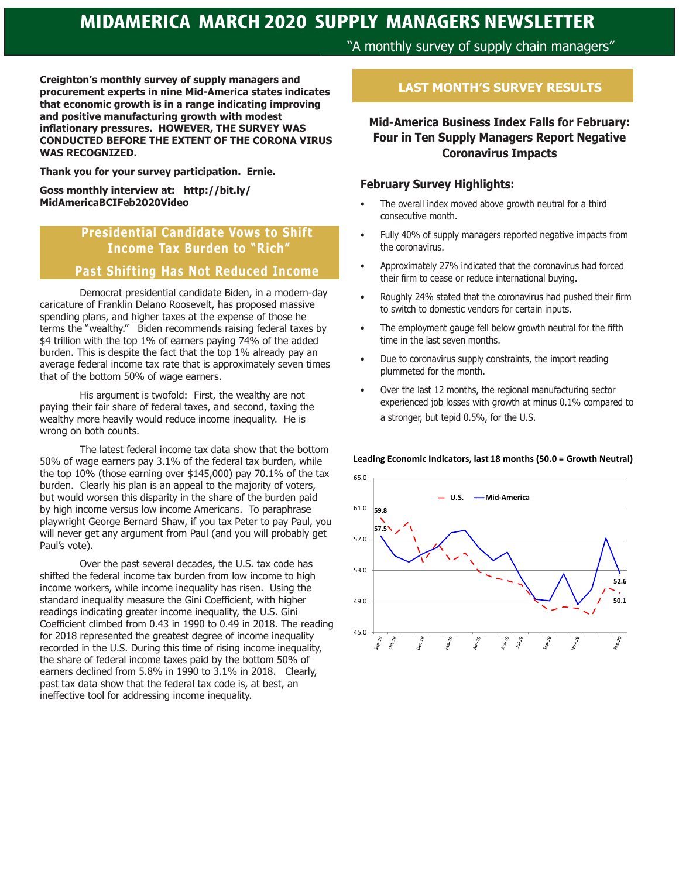"A monthly survey of supply chain managers"

**Creighton's monthly survey of supply managers and procurement experts in nine Mid-America states indicates that economic growth is in a range indicating improving and positive manufacturing growth with modest inflationary pressures. HOWEVER, THE SURVEY WAS CONDUCTED BEFORE THE EXTENT OF THE CORONA VIRUS WAS RECOGNIZED.**

**Thank you for your survey participation. Ernie.** 

**Goss monthly interview at: http://bit.ly/ MidAmericaBCIFeb2020Video**

## **Presidential Candidate Vows to Shift Income Tax Burden to "Rich"**

### **Past Shifting Has Not Reduced Income**

Democrat presidential candidate Biden, in a modern-day caricature of Franklin Delano Roosevelt, has proposed massive spending plans, and higher taxes at the expense of those he terms the "wealthy." Biden recommends raising federal taxes by \$4 trillion with the top 1% of earners paying 74% of the added burden. This is despite the fact that the top 1% already pay an average federal income tax rate that is approximately seven times that of the bottom 50% of wage earners.

His argument is twofold: First, the wealthy are not paying their fair share of federal taxes, and second, taxing the wealthy more heavily would reduce income inequality. He is wrong on both counts.

The latest federal income tax data show that the bottom 50% of wage earners pay 3.1% of the federal tax burden, while the top 10% (those earning over \$145,000) pay 70.1% of the tax burden. Clearly his plan is an appeal to the majority of voters, but would worsen this disparity in the share of the burden paid by high income versus low income Americans. To paraphrase playwright George Bernard Shaw, if you tax Peter to pay Paul, you will never get any argument from Paul (and you will probably get Paul's vote).

Over the past several decades, the U.S. tax code has shifted the federal income tax burden from low income to high income workers, while income inequality has risen. Using the standard inequality measure the Gini Coefficient, with higher readings indicating greater income inequality, the U.S. Gini Coefficient climbed from 0.43 in 1990 to 0.49 in 2018. The reading for 2018 represented the greatest degree of income inequality recorded in the U.S. During this time of rising income inequality, the share of federal income taxes paid by the bottom 50% of earners declined from 5.8% in 1990 to 3.1% in 2018. Clearly, past tax data show that the federal tax code is, at best, an ineffective tool for addressing income inequality.

### **LAST MONTH'S SURVEY RESULTS**

**Mid-America Business Index Falls for February: Four in Ten Supply Managers Report Negative Coronavirus Impacts** 

### **February Survey Highlights:**

- The overall index moved above growth neutral for a third consecutive month.
- Fully 40% of supply managers reported negative impacts from the coronavirus.
- Approximately 27% indicated that the coronavirus had forced their firm to cease or reduce international buying.
- Roughly 24% stated that the coronavirus had pushed their firm to switch to domestic vendors for certain inputs.
- The employment gauge fell below growth neutral for the fifth time in the last seven months.
- Due to coronavirus supply constraints, the import reading plummeted for the month.
- Over the last 12 months, the regional manufacturing sector experienced job losses with growth at minus 0.1% compared to a stronger, but tepid 0.5%, for the U.S.



#### **Leading Economic Indicators, last 18 months (50.0 = Growth Neutral)**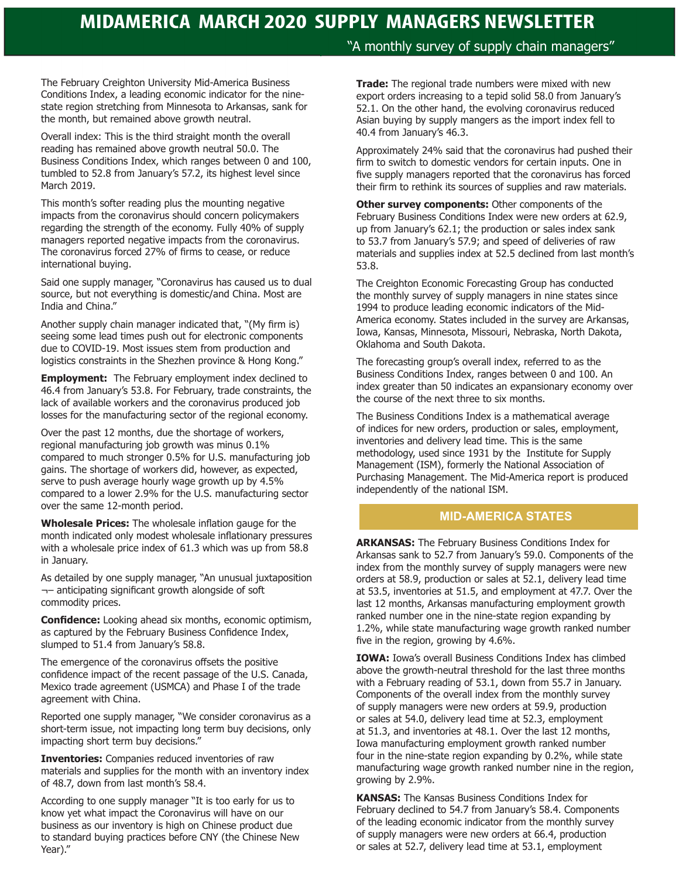### "A monthly survey of supply chain managers"

The February Creighton University Mid-America Business Conditions Index, a leading economic indicator for the ninestate region stretching from Minnesota to Arkansas, sank for the month, but remained above growth neutral.

Overall index: This is the third straight month the overall reading has remained above growth neutral 50.0. The Business Conditions Index, which ranges between 0 and 100, tumbled to 52.8 from January's 57.2, its highest level since March 2019.

This month's softer reading plus the mounting negative impacts from the coronavirus should concern policymakers regarding the strength of the economy. Fully 40% of supply managers reported negative impacts from the coronavirus. The coronavirus forced 27% of firms to cease, or reduce international buying.

Said one supply manager, "Coronavirus has caused us to dual source, but not everything is domestic/and China. Most are India and China."

Another supply chain manager indicated that, "(My firm is) seeing some lead times push out for electronic components due to COVID-19. Most issues stem from production and logistics constraints in the Shezhen province & Hong Kong."

**Employment:** The February employment index declined to 46.4 from January's 53.8. For February, trade constraints, the lack of available workers and the coronavirus produced job losses for the manufacturing sector of the regional economy.

Over the past 12 months, due the shortage of workers, regional manufacturing job growth was minus 0.1% compared to much stronger 0.5% for U.S. manufacturing job gains. The shortage of workers did, however, as expected, serve to push average hourly wage growth up by 4.5% compared to a lower 2.9% for the U.S. manufacturing sector over the same 12-month period.

**Wholesale Prices:** The wholesale inflation gauge for the month indicated only modest wholesale inflationary pressures with a wholesale price index of 61.3 which was up from 58.8 in January.

As detailed by one supply manager, "An unusual juxtaposition ¬– anticipating significant growth alongside of soft commodity prices.

**Confidence:** Looking ahead six months, economic optimism, as captured by the February Business Confidence Index, slumped to 51.4 from January's 58.8.

The emergence of the coronavirus offsets the positive confidence impact of the recent passage of the U.S. Canada, Mexico trade agreement (USMCA) and Phase I of the trade agreement with China.

Reported one supply manager, "We consider coronavirus as a short-term issue, not impacting long term buy decisions, only impacting short term buy decisions."

**Inventories:** Companies reduced inventories of raw materials and supplies for the month with an inventory index of 48.7, down from last month's 58.4.

According to one supply manager "It is too early for us to know yet what impact the Coronavirus will have on our business as our inventory is high on Chinese product due to standard buying practices before CNY (the Chinese New Year)."

**Trade:** The regional trade numbers were mixed with new export orders increasing to a tepid solid 58.0 from January's 52.1. On the other hand, the evolving coronavirus reduced Asian buying by supply mangers as the import index fell to 40.4 from January's 46.3.

Approximately 24% said that the coronavirus had pushed their firm to switch to domestic vendors for certain inputs. One in five supply managers reported that the coronavirus has forced their firm to rethink its sources of supplies and raw materials.

**Other survey components: Other components of the** February Business Conditions Index were new orders at 62.9, up from January's 62.1; the production or sales index sank to 53.7 from January's 57.9; and speed of deliveries of raw materials and supplies index at 52.5 declined from last month's 53.8.

The Creighton Economic Forecasting Group has conducted the monthly survey of supply managers in nine states since 1994 to produce leading economic indicators of the Mid-America economy. States included in the survey are Arkansas, Iowa, Kansas, Minnesota, Missouri, Nebraska, North Dakota, Oklahoma and South Dakota.

The forecasting group's overall index, referred to as the Business Conditions Index, ranges between 0 and 100. An index greater than 50 indicates an expansionary economy over the course of the next three to six months.

The Business Conditions Index is a mathematical average of indices for new orders, production or sales, employment, inventories and delivery lead time. This is the same methodology, used since 1931 by the Institute for Supply Management (ISM), formerly the National Association of Purchasing Management. The Mid-America report is produced independently of the national ISM.

### **MID-AMERICA STATES**

**ARKANSAS:** The February Business Conditions Index for Arkansas sank to 52.7 from January's 59.0. Components of the index from the monthly survey of supply managers were new orders at 58.9, production or sales at 52.1, delivery lead time at 53.5, inventories at 51.5, and employment at 47.7. Over the last 12 months, Arkansas manufacturing employment growth ranked number one in the nine-state region expanding by 1.2%, while state manufacturing wage growth ranked number five in the region, growing by 4.6%.

**IOWA:** Iowa's overall Business Conditions Index has climbed above the growth-neutral threshold for the last three months with a February reading of 53.1, down from 55.7 in January. Components of the overall index from the monthly survey of supply managers were new orders at 59.9, production or sales at 54.0, delivery lead time at 52.3, employment at 51.3, and inventories at 48.1. Over the last 12 months, Iowa manufacturing employment growth ranked number four in the nine-state region expanding by 0.2%, while state manufacturing wage growth ranked number nine in the region, growing by 2.9%.

**KANSAS:** The Kansas Business Conditions Index for February declined to 54.7 from January's 58.4. Components of the leading economic indicator from the monthly survey of supply managers were new orders at 66.4, production or sales at 52.7, delivery lead time at 53.1, employment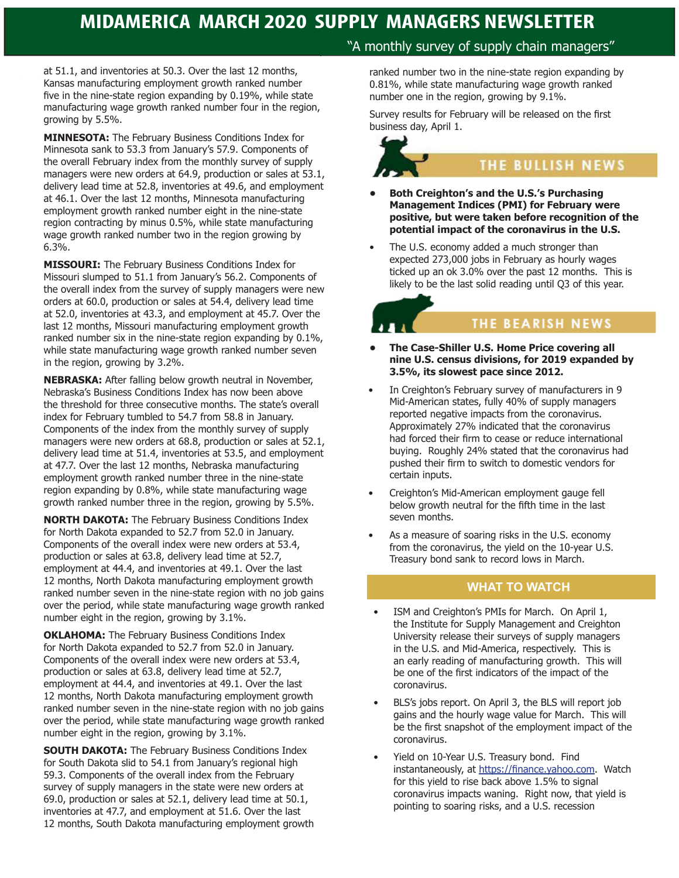at 51.1, and inventories at 50.3. Over the last 12 months, Kansas manufacturing employment growth ranked number five in the nine-state region expanding by 0.19%, while state manufacturing wage growth ranked number four in the region, growing by 5.5%.

**MINNESOTA:** The February Business Conditions Index for Minnesota sank to 53.3 from January's 57.9. Components of the overall February index from the monthly survey of supply managers were new orders at 64.9, production or sales at 53.1, delivery lead time at 52.8, inventories at 49.6, and employment at 46.1. Over the last 12 months, Minnesota manufacturing employment growth ranked number eight in the nine-state region contracting by minus 0.5%, while state manufacturing wage growth ranked number two in the region growing by 6.3%.

**MISSOURI:** The February Business Conditions Index for Missouri slumped to 51.1 from January's 56.2. Components of the overall index from the survey of supply managers were new orders at 60.0, production or sales at 54.4, delivery lead time at 52.0, inventories at 43.3, and employment at 45.7. Over the last 12 months, Missouri manufacturing employment growth ranked number six in the nine-state region expanding by 0.1%, while state manufacturing wage growth ranked number seven in the region, growing by 3.2%.

**NEBRASKA:** After falling below growth neutral in November, Nebraska's Business Conditions Index has now been above the threshold for three consecutive months. The state's overall index for February tumbled to 54.7 from 58.8 in January. Components of the index from the monthly survey of supply managers were new orders at 68.8, production or sales at 52.1, delivery lead time at 51.4, inventories at 53.5, and employment at 47.7. Over the last 12 months, Nebraska manufacturing employment growth ranked number three in the nine-state region expanding by 0.8%, while state manufacturing wage growth ranked number three in the region, growing by 5.5%.

**NORTH DAKOTA:** The February Business Conditions Index for North Dakota expanded to 52.7 from 52.0 in January. Components of the overall index were new orders at 53.4, production or sales at 63.8, delivery lead time at 52.7, employment at 44.4, and inventories at 49.1. Over the last 12 months, North Dakota manufacturing employment growth ranked number seven in the nine-state region with no job gains over the period, while state manufacturing wage growth ranked number eight in the region, growing by 3.1%.

**OKLAHOMA:** The February Business Conditions Index for North Dakota expanded to 52.7 from 52.0 in January. Components of the overall index were new orders at 53.4, production or sales at 63.8, delivery lead time at 52.7, employment at 44.4, and inventories at 49.1. Over the last 12 months, North Dakota manufacturing employment growth ranked number seven in the nine-state region with no job gains over the period, while state manufacturing wage growth ranked number eight in the region, growing by 3.1%.

**SOUTH DAKOTA:** The February Business Conditions Index for South Dakota slid to 54.1 from January's regional high 59.3. Components of the overall index from the February survey of supply managers in the state were new orders at 69.0, production or sales at 52.1, delivery lead time at 50.1, inventories at 47.7, and employment at 51.6. Over the last 12 months, South Dakota manufacturing employment growth

### "A monthly survey of supply chain managers"

ranked number two in the nine-state region expanding by 0.81%, while state manufacturing wage growth ranked number one in the region, growing by 9.1%.

Survey results for February will be released on the first business day, April 1.

## THE BULLISH NEWS

- **• Both Creighton's and the U.S.'s Purchasing Management Indices (PMI) for February were positive, but were taken before recognition of the potential impact of the coronavirus in the U.S.**
- The U.S. economy added a much stronger than expected 273,000 jobs in February as hourly wages ticked up an ok 3.0% over the past 12 months. This is likely to be the last solid reading until Q3 of this year.

### THE BEARISH NEWS

- **• The Case-Shiller U.S. Home Price covering all nine U.S. census divisions, for 2019 expanded by 3.5%, its slowest pace since 2012.**
- In Creighton's February survey of manufacturers in 9 Mid-American states, fully 40% of supply managers reported negative impacts from the coronavirus. Approximately 27% indicated that the coronavirus had forced their firm to cease or reduce international buying. Roughly 24% stated that the coronavirus had pushed their firm to switch to domestic vendors for certain inputs.
- Creighton's Mid-American employment gauge fell below growth neutral for the fifth time in the last seven months.
- As a measure of soaring risks in the U.S. economy from the coronavirus, the yield on the 10-year U.S. Treasury bond sank to record lows in March.

### **WHAT TO WATCH**

- ISM and Creighton's PMIs for March. On April 1, the Institute for Supply Management and Creighton University release their surveys of supply managers in the U.S. and Mid-America, respectively. This is an early reading of manufacturing growth. This will be one of the first indicators of the impact of the coronavirus.
- BLS's jobs report. On April 3, the BLS will report job gains and the hourly wage value for March. This will be the first snapshot of the employment impact of the coronavirus.
- Yield on 10-Year U.S. Treasury bond. Find instantaneously, at https://finance.yahoo.com. Watch for this yield to rise back above 1.5% to signal coronavirus impacts waning. Right now, that yield is pointing to soaring risks, and a U.S. recession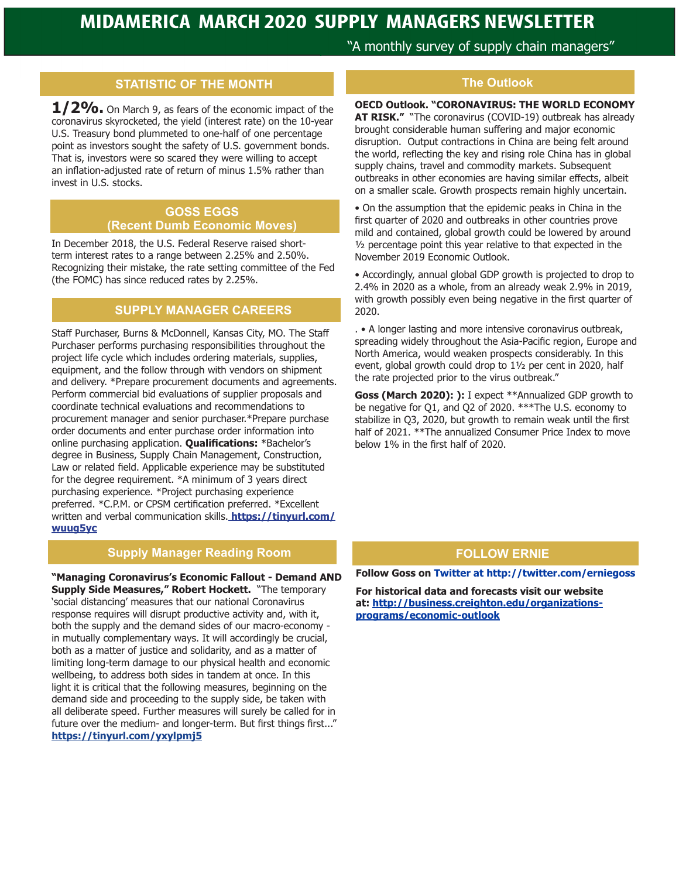"A monthly survey of supply chain managers"

### **STATISTIC OF THE MONTH**

**1/2%.** On March 9, as fears of the economic impact of the coronavirus skyrocketed, the yield (interest rate) on the 10-year U.S. Treasury bond plummeted to one-half of one percentage point as investors sought the safety of U.S. government bonds. That is, investors were so scared they were willing to accept an inflation-adjusted rate of return of minus 1.5% rather than invest in U.S. stocks.

### **GOSS EGGS (Recent Dumb Economic Moves)**

In December 2018, the U.S. Federal Reserve raised shortterm interest rates to a range between 2.25% and 2.50%. Recognizing their mistake, the rate setting committee of the Fed (the FOMC) has since reduced rates by 2.25%.

### **SUPPLY MANAGER CAREERS**

Staff Purchaser, Burns & McDonnell, Kansas City, MO. The Staff Purchaser performs purchasing responsibilities throughout the project life cycle which includes ordering materials, supplies, equipment, and the follow through with vendors on shipment and delivery. \*Prepare procurement documents and agreements. Perform commercial bid evaluations of supplier proposals and coordinate technical evaluations and recommendations to procurement manager and senior purchaser.\*Prepare purchase order documents and enter purchase order information into online purchasing application. **Qualifications:** \*Bachelor's degree in Business, Supply Chain Management, Construction, Law or related field. Applicable experience may be substituted for the degree requirement. \*A minimum of 3 years direct purchasing experience. \*Project purchasing experience preferred. \*C.P.M. or CPSM certification preferred. \*Excellent written and verbal communication skills. **https://tinyurl.com/ wuug5yc**

### **Supply Manager Reading Room**

**"Managing Coronavirus's Economic Fallout - Demand AND Supply Side Measures," Robert Hockett.** "The temporary 'social distancing' measures that our national Coronavirus response requires will disrupt productive activity and, with it, both the supply and the demand sides of our macro-economy in mutually complementary ways. It will accordingly be crucial, both as a matter of justice and solidarity, and as a matter of limiting long-term damage to our physical health and economic wellbeing, to address both sides in tandem at once. In this light it is critical that the following measures, beginning on the demand side and proceeding to the supply side, be taken with all deliberate speed. Further measures will surely be called for in future over the medium- and longer-term. But first things first..." **https://tinyurl.com/yxylpmj5**

### **The Outlook**

**OECD Outlook. "CORONAVIRUS: THE WORLD ECONOMY AT RISK."** "The coronavirus (COVID-19) outbreak has already brought considerable human suffering and major economic disruption. Output contractions in China are being felt around the world, reflecting the key and rising role China has in global supply chains, travel and commodity markets. Subsequent outbreaks in other economies are having similar effects, albeit on a smaller scale. Growth prospects remain highly uncertain.

• On the assumption that the epidemic peaks in China in the first quarter of 2020 and outbreaks in other countries prove mild and contained, global growth could be lowered by around ½ percentage point this year relative to that expected in the November 2019 Economic Outlook.

• Accordingly, annual global GDP growth is projected to drop to 2.4% in 2020 as a whole, from an already weak 2.9% in 2019, with growth possibly even being negative in the first quarter of 2020.

. • A longer lasting and more intensive coronavirus outbreak, spreading widely throughout the Asia-Pacific region, Europe and North America, would weaken prospects considerably. In this event, global growth could drop to 1½ per cent in 2020, half the rate projected prior to the virus outbreak."

**Goss (March 2020): ):** I expect \*\*Annualized GDP growth to be negative for Q1, and Q2 of 2020. \*\*\*The U.S. economy to stabilize in Q3, 2020, but growth to remain weak until the first half of 2021. \*\*The annualized Consumer Price Index to move below 1% in the first half of 2020.

### **FOLLOW ERNIE**

**Follow Goss on Twitter at http://twitter.com/erniegoss**

**For historical data and forecasts visit our website at: http://business.creighton.edu/organizationsprograms/economic-outlook**